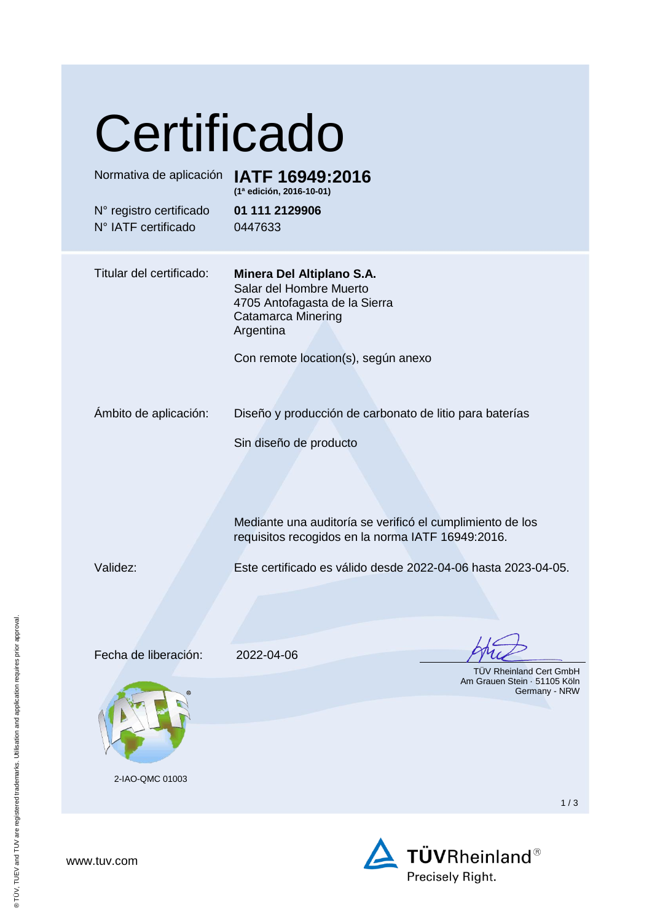| Certificado<br>Normativa de aplicación<br>N° registro certificado<br>N° IATF certificado | IATF 16949:2016<br>(1ª edición, 2016-10-01)<br>01 111 2129906<br>0447633                                                                                                                            |
|------------------------------------------------------------------------------------------|-----------------------------------------------------------------------------------------------------------------------------------------------------------------------------------------------------|
| Titular del certificado:                                                                 | Minera Del Altiplano S.A.<br>Salar del Hombre Muerto<br>4705 Antofagasta de la Sierra<br>Catamarca Minering<br>Argentina<br>Con remote location(s), según anexo                                     |
| Ambito de aplicación:                                                                    | Diseño y producción de carbonato de litio para baterías<br>Sin diseño de producto<br>Mediante una auditoría se verificó el cumplimiento de los<br>requisitos recogidos en la norma IATF 16949:2016. |
| Validez:                                                                                 | Este certificado es válido desde 2022-04-06 hasta 2023-04-05.                                                                                                                                       |
| Fecha de liberación:<br>2-IAO-QMC 01003                                                  | 2022-04-06<br><b>TÜV Rheinland Cert GmbH</b><br>Am Grauen Stein 51105 Köln<br>Germany - NRW                                                                                                         |
|                                                                                          | 1/3                                                                                                                                                                                                 |

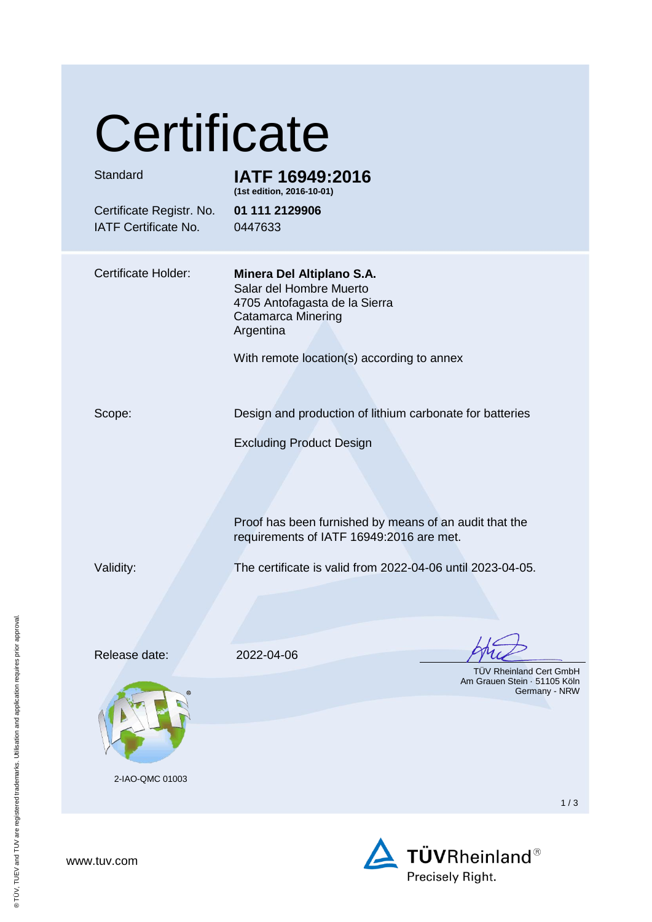# **Certificate**

| Standard                                         | IATF 16949:2016<br>(1st edition, 2016-10-01)                                                                                                                                  |
|--------------------------------------------------|-------------------------------------------------------------------------------------------------------------------------------------------------------------------------------|
| Certificate Registr. No.<br>IATF Certificate No. | 01 111 2129906<br>0447633                                                                                                                                                     |
| <b>Certificate Holder:</b>                       | Minera Del Altiplano S.A.<br>Salar del Hombre Muerto<br>4705 Antofagasta de la Sierra<br><b>Catamarca Minering</b><br>Argentina<br>With remote location(s) according to annex |
| Scope:                                           | Design and production of lithium carbonate for batteries                                                                                                                      |
|                                                  | <b>Excluding Product Design</b>                                                                                                                                               |
|                                                  | Proof has been furnished by means of an audit that the<br>requirements of IATF 16949:2016 are met.                                                                            |
| Validity:                                        | The certificate is valid from 2022-04-06 until 2023-04-05.                                                                                                                    |
|                                                  |                                                                                                                                                                               |
| Release date:                                    | 2022-04-06                                                                                                                                                                    |
|                                                  | TÜV Rheinland Cert GmbH<br>Am Grauen Stein · 51105 Köln<br>Germany - NRW                                                                                                      |
|                                                  |                                                                                                                                                                               |
| 2-IAO-QMC 01003                                  | 1/3                                                                                                                                                                           |
|                                                  |                                                                                                                                                                               |



® TÜV, TUEV and TUV are registered trademarks. Utilisation and application requires prior approval.

® TÜV, TUEV and TUV are registered trademarks. Utilisation and application requires prior approval.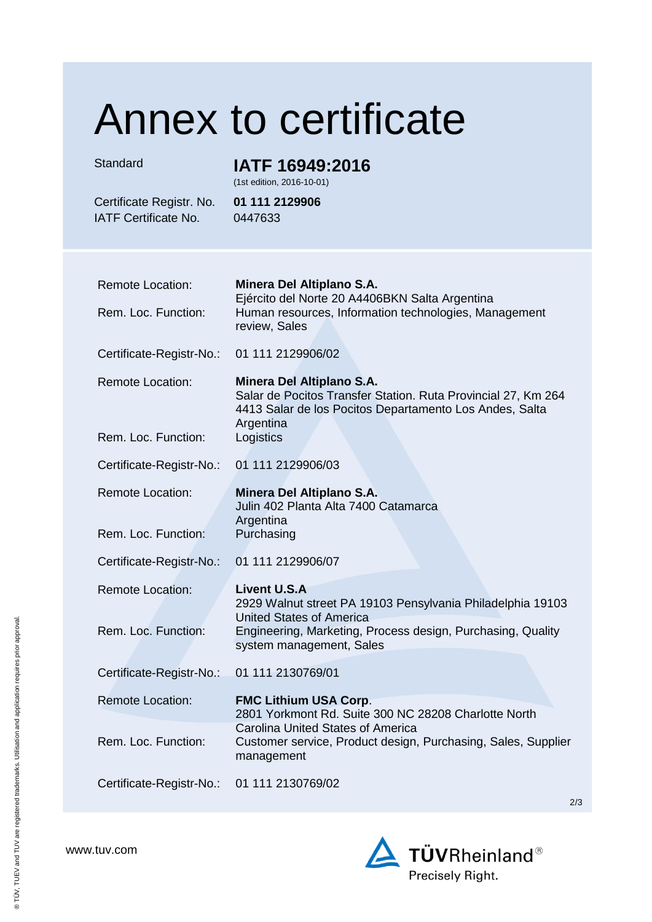## Annex to certificate

### Standard **IATF 16949:2016**

(1st edition, 2016-10-01)

IATF Certificate No. 0447633

Certificate Registr. No. **01 111 2129906**

| <b>Remote Location:</b>  | Minera Del Altiplano S.A.<br>Ejército del Norte 20 A4406BKN Salta Argentina                                                                                        |
|--------------------------|--------------------------------------------------------------------------------------------------------------------------------------------------------------------|
| Rem. Loc. Function:      | Human resources, Information technologies, Management<br>review, Sales                                                                                             |
| Certificate-Registr-No.: | 01 111 2129906/02                                                                                                                                                  |
| <b>Remote Location:</b>  | Minera Del Altiplano S.A.<br>Salar de Pocitos Transfer Station. Ruta Provincial 27, Km 264<br>4413 Salar de los Pocitos Departamento Los Andes, Salta<br>Argentina |
| Rem. Loc. Function:      | Logistics                                                                                                                                                          |
| Certificate-Registr-No.: | 01 111 2129906/03                                                                                                                                                  |
| <b>Remote Location:</b>  | Minera Del Altiplano S.A.<br>Julin 402 Planta Alta 7400 Catamarca                                                                                                  |
| Rem. Loc. Function:      | Argentina<br>Purchasing                                                                                                                                            |
| Certificate-Registr-No.: | 01 111 2129906/07                                                                                                                                                  |
| <b>Remote Location:</b>  | <b>Livent U.S.A</b><br>2929 Walnut street PA 19103 Pensylvania Philadelphia 19103<br><b>United States of America</b>                                               |
| Rem. Loc. Function:      | Engineering, Marketing, Process design, Purchasing, Quality<br>system management, Sales                                                                            |
| Certificate-Registr-No.: | 01 111 2130769/01                                                                                                                                                  |
| <b>Remote Location:</b>  | <b>FMC Lithium USA Corp.</b><br>2801 Yorkmont Rd. Suite 300 NC 28208 Charlotte North                                                                               |
| Rem. Loc. Function:      | <b>Carolina United States of America</b><br>Customer service, Product design, Purchasing, Sales, Supplier<br>management                                            |
| Certificate-Registr-No.: | 01 111 2130769/02                                                                                                                                                  |

**TÜVRheinland®** Precisely Right.